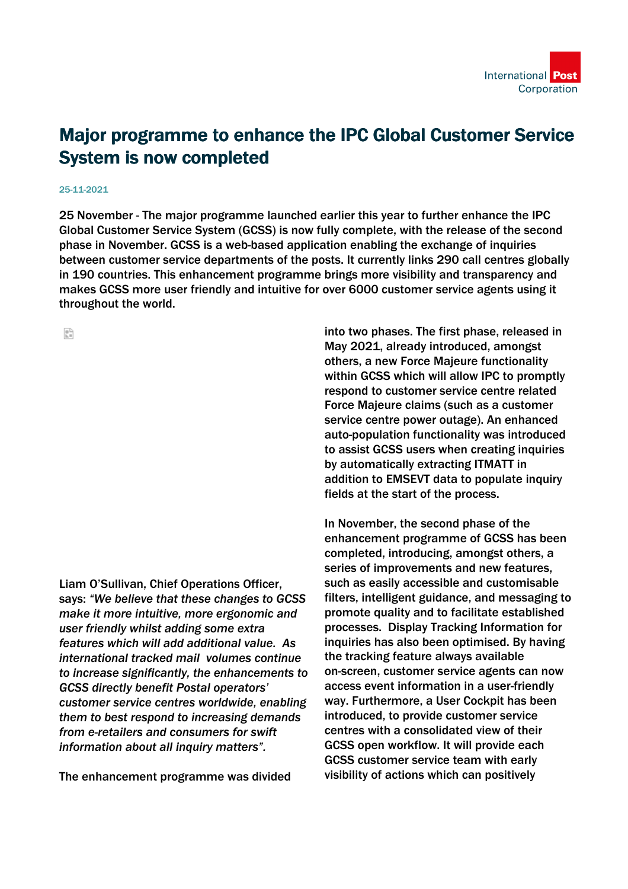

## Major programme to enhance the IPC Global Customer Service System is now completed

## 25-11-2021

25 November - The major programme launched earlier this year to further enhance the IPC Global Customer Service System (GCSS) is now fully complete, with the release of the second phase in November. GCSS is a web-based application enabling the exchange of inquiries between customer service departments of the posts. It currently links 290 call centres globally in 190 countries. This enhancement programme brings more visibility and transparency and makes GCSS more user friendly and intuitive for over 6000 customer service agents using it throughout the world.

읇

Liam O'Sullivan, Chief Operations Officer, says: *"We believe that these changes to GCSS make it more intuitive, more ergonomic and user friendly whilst adding some extra features which will add additional value. As international tracked mail volumes continue to increase significantly, the enhancements to GCSS directly benefit Postal operators' customer service centres worldwide, enabling them to best respond to increasing demands from e-retailers and consumers for swift information about all inquiry matters".* 

The enhancement programme was divided

into two phases. The first phase, released in May 2021, already introduced, amongst others, a new Force Majeure functionality within GCSS which will allow IPC to promptly respond to customer service centre related Force Majeure claims (such as a customer service centre power outage). An enhanced auto-population functionality was introduced to assist GCSS users when creating inquiries by automatically extracting ITMATT in addition to EMSEVT data to populate inquiry fields at the start of the process.

In November, the second phase of the enhancement programme of GCSS has been completed, introducing, amongst others, a series of improvements and new features, such as easily accessible and customisable filters, intelligent guidance, and messaging to promote quality and to facilitate established processes. Display Tracking Information for inquiries has also been optimised. By having the tracking feature always available on-screen, customer service agents can now access event information in a user-friendly way. Furthermore, a User Cockpit has been introduced, to provide customer service centres with a consolidated view of their GCSS open workflow. It will provide each GCSS customer service team with early visibility of actions which can positively